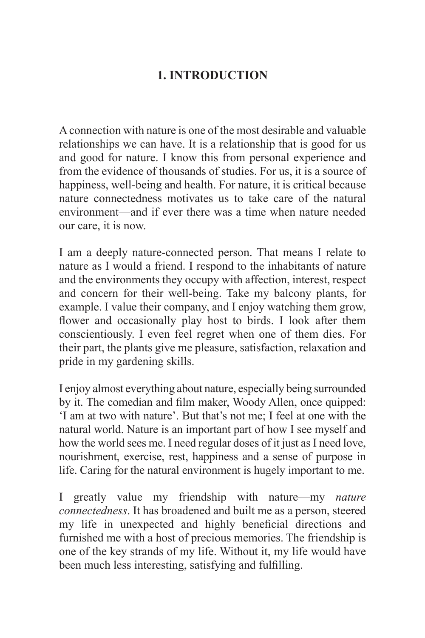## **1. INTRODUCTION**

A connection with nature is one of the most desirable and valuable relationships we can have. It is a relationship that is good for us and good for nature. I know this from personal experience and from the evidence of thousands of studies. For us, it is a source of happiness, well-being and health. For nature, it is critical because nature connectedness motivates us to take care of the natural environment—and if ever there was a time when nature needed our care, it is now.

I am a deeply nature-connected person. That means I relate to nature as I would a friend. I respond to the inhabitants of nature and the environments they occupy with affection, interest, respect and concern for their well-being. Take my balcony plants, for example. I value their company, and I enjoy watching them grow, flower and occasionally play host to birds. I look after them conscientiously. I even feel regret when one of them dies. For their part, the plants give me pleasure, satisfaction, relaxation and pride in my gardening skills.

I enjoy almost everything about nature, especially being surrounded by it. The comedian and film maker, Woody Allen, once quipped: 'I am at two with nature'. But that's not me; I feel at one with the natural world. Nature is an important part of how I see myself and how the world sees me. I need regular doses of it just as I need love, nourishment, exercise, rest, happiness and a sense of purpose in life. Caring for the natural environment is hugely important to me.

I greatly value my friendship with nature—my *nature connectedness*. It has broadened and built me as a person, steered my life in unexpected and highly beneficial directions and furnished me with a host of precious memories. The friendship is one of the key strands of my life. Without it, my life would have been much less interesting, satisfying and fulfilling.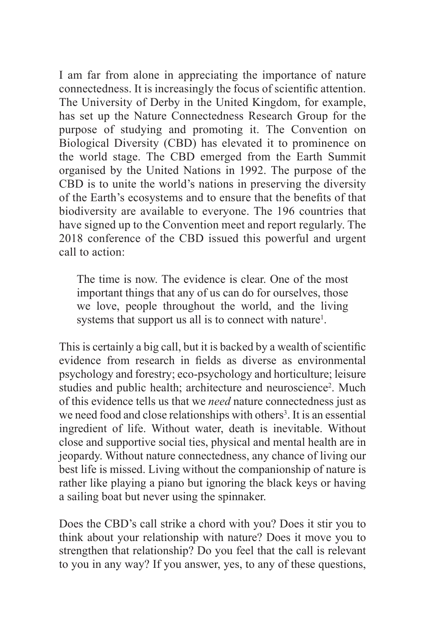I am far from alone in appreciating the importance of nature connectedness. It is increasingly the focus of scientific attention. The University of Derby in the United Kingdom, for example, has set up the Nature Connectedness Research Group for the purpose of studying and promoting it. The Convention on Biological Diversity (CBD) has elevated it to prominence on the world stage. The CBD emerged from the Earth Summit organised by the United Nations in 1992. The purpose of the CBD is to unite the world's nations in preserving the diversity of the Earth's ecosystems and to ensure that the benefits of that biodiversity are available to everyone. The 196 countries that have signed up to the Convention meet and report regularly. The 2018 conference of the CBD issued this powerful and urgent call to action:

The time is now. The evidence is clear. One of the most important things that any of us can do for ourselves, those we love, people throughout the world, and the living systems that support us all is to connect with nature<sup>1</sup>.

This is certainly a big call, but it is backed by a wealth of scientific evidence from research in fields as diverse as environmental psychology and forestry; eco-psychology and horticulture; leisure studies and public health; architecture and neuroscience<sup>2</sup>. Much of this evidence tells us that we *need* nature connectedness just as we need food and close relationships with others<sup>3</sup>. It is an essential ingredient of life. Without water, death is inevitable. Without close and supportive social ties, physical and mental health are in jeopardy. Without nature connectedness, any chance of living our best life is missed. Living without the companionship of nature is rather like playing a piano but ignoring the black keys or having a sailing boat but never using the spinnaker.

Does the CBD's call strike a chord with you? Does it stir you to think about your relationship with nature? Does it move you to strengthen that relationship? Do you feel that the call is relevant to you in any way? If you answer, yes, to any of these questions,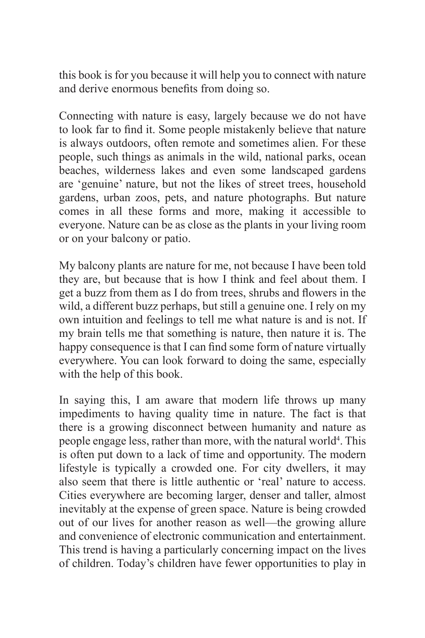this book is for you because it will help you to connect with nature and derive enormous benefits from doing so.

Connecting with nature is easy, largely because we do not have to look far to find it. Some people mistakenly believe that nature is always outdoors, often remote and sometimes alien. For these people, such things as animals in the wild, national parks, ocean beaches, wilderness lakes and even some landscaped gardens are 'genuine' nature, but not the likes of street trees, household gardens, urban zoos, pets, and nature photographs. But nature comes in all these forms and more, making it accessible to everyone. Nature can be as close as the plants in your living room or on your balcony or patio.

My balcony plants are nature for me, not because I have been told they are, but because that is how I think and feel about them. I get a buzz from them as I do from trees, shrubs and flowers in the wild, a different buzz perhaps, but still a genuine one. I rely on my own intuition and feelings to tell me what nature is and is not. If my brain tells me that something is nature, then nature it is. The happy consequence is that I can find some form of nature virtually everywhere. You can look forward to doing the same, especially with the help of this book.

In saying this, I am aware that modern life throws up many impediments to having quality time in nature. The fact is that there is a growing disconnect between humanity and nature as people engage less, rather than more, with the natural world<sup>4</sup>. This is often put down to a lack of time and opportunity. The modern lifestyle is typically a crowded one. For city dwellers, it may also seem that there is little authentic or 'real' nature to access. Cities everywhere are becoming larger, denser and taller, almost inevitably at the expense of green space. Nature is being crowded out of our lives for another reason as well—the growing allure and convenience of electronic communication and entertainment. This trend is having a particularly concerning impact on the lives of children. Today's children have fewer opportunities to play in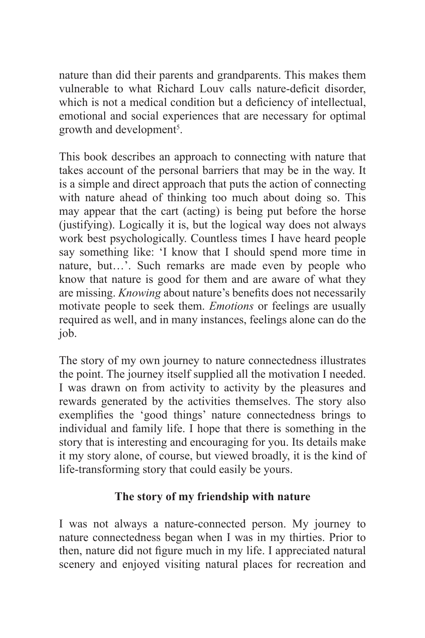nature than did their parents and grandparents. This makes them vulnerable to what Richard Louv calls nature-deficit disorder, which is not a medical condition but a deficiency of intellectual, emotional and social experiences that are necessary for optimal growth and development<sup>5</sup>.

This book describes an approach to connecting with nature that takes account of the personal barriers that may be in the way. It is a simple and direct approach that puts the action of connecting with nature ahead of thinking too much about doing so. This may appear that the cart (acting) is being put before the horse (justifying). Logically it is, but the logical way does not always work best psychologically. Countless times I have heard people say something like: 'I know that I should spend more time in nature, but…'. Such remarks are made even by people who know that nature is good for them and are aware of what they are missing. *Knowing* about nature's benefits does not necessarily motivate people to seek them. *Emotions* or feelings are usually required as well, and in many instances, feelings alone can do the job.

The story of my own journey to nature connectedness illustrates the point. The journey itself supplied all the motivation I needed. I was drawn on from activity to activity by the pleasures and rewards generated by the activities themselves. The story also exemplifies the 'good things' nature connectedness brings to individual and family life. I hope that there is something in the story that is interesting and encouraging for you. Its details make it my story alone, of course, but viewed broadly, it is the kind of life-transforming story that could easily be yours.

## **The story of my friendship with nature**

I was not always a nature-connected person. My journey to nature connectedness began when I was in my thirties. Prior to then, nature did not figure much in my life. I appreciated natural scenery and enjoyed visiting natural places for recreation and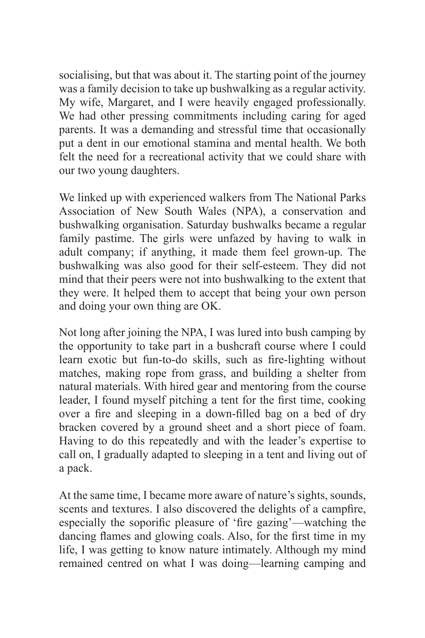socialising, but that was about it. The starting point of the journey was a family decision to take up bushwalking as a regular activity. My wife, Margaret, and I were heavily engaged professionally. We had other pressing commitments including caring for aged parents. It was a demanding and stressful time that occasionally put a dent in our emotional stamina and mental health. We both felt the need for a recreational activity that we could share with our two young daughters.

We linked up with experienced walkers from The National Parks Association of New South Wales (NPA), a conservation and bushwalking organisation. Saturday bushwalks became a regular family pastime. The girls were unfazed by having to walk in adult company; if anything, it made them feel grown-up. The bushwalking was also good for their self-esteem. They did not mind that their peers were not into bushwalking to the extent that they were. It helped them to accept that being your own person and doing your own thing are OK.

Not long after joining the NPA, I was lured into bush camping by the opportunity to take part in a bushcraft course where I could learn exotic but fun-to-do skills, such as fire-lighting without matches, making rope from grass, and building a shelter from natural materials. With hired gear and mentoring from the course leader, I found myself pitching a tent for the first time, cooking over a fire and sleeping in a down-filled bag on a bed of dry bracken covered by a ground sheet and a short piece of foam. Having to do this repeatedly and with the leader's expertise to call on, I gradually adapted to sleeping in a tent and living out of a pack.

At the same time, I became more aware of nature's sights, sounds, scents and textures. I also discovered the delights of a campfire, especially the soporific pleasure of 'fire gazing'—watching the dancing flames and glowing coals. Also, for the first time in my life, I was getting to know nature intimately. Although my mind remained centred on what I was doing—learning camping and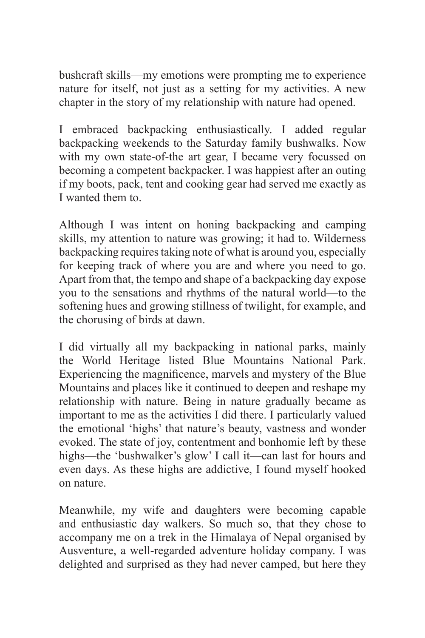bushcraft skills—my emotions were prompting me to experience nature for itself, not just as a setting for my activities. A new chapter in the story of my relationship with nature had opened.

I embraced backpacking enthusiastically. I added regular backpacking weekends to the Saturday family bushwalks. Now with my own state-of-the art gear, I became very focussed on becoming a competent backpacker. I was happiest after an outing if my boots, pack, tent and cooking gear had served me exactly as I wanted them to.

Although I was intent on honing backpacking and camping skills, my attention to nature was growing; it had to. Wilderness backpacking requires taking note of what is around you, especially for keeping track of where you are and where you need to go. Apart from that, the tempo and shape of a backpacking day expose you to the sensations and rhythms of the natural world—to the softening hues and growing stillness of twilight, for example, and the chorusing of birds at dawn.

I did virtually all my backpacking in national parks, mainly the World Heritage listed Blue Mountains National Park. Experiencing the magnificence, marvels and mystery of the Blue Mountains and places like it continued to deepen and reshape my relationship with nature. Being in nature gradually became as important to me as the activities I did there. I particularly valued the emotional 'highs' that nature's beauty, vastness and wonder evoked. The state of joy, contentment and bonhomie left by these highs—the 'bushwalker's glow' I call it—can last for hours and even days. As these highs are addictive, I found myself hooked on nature.

Meanwhile, my wife and daughters were becoming capable and enthusiastic day walkers. So much so, that they chose to accompany me on a trek in the Himalaya of Nepal organised by Ausventure, a well-regarded adventure holiday company. I was delighted and surprised as they had never camped, but here they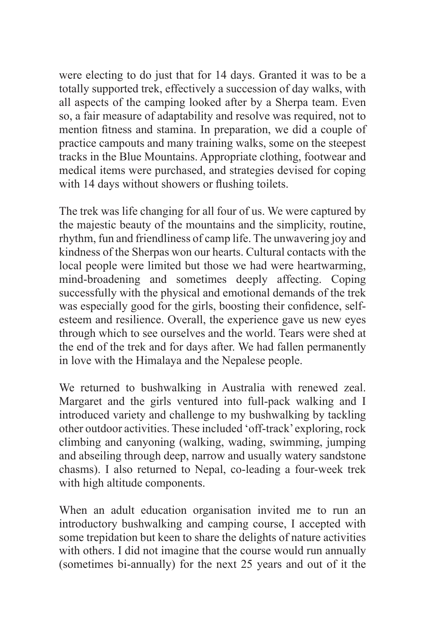were electing to do just that for 14 days. Granted it was to be a totally supported trek, effectively a succession of day walks, with all aspects of the camping looked after by a Sherpa team. Even so, a fair measure of adaptability and resolve was required, not to mention fitness and stamina. In preparation, we did a couple of practice campouts and many training walks, some on the steepest tracks in the Blue Mountains. Appropriate clothing, footwear and medical items were purchased, and strategies devised for coping with 14 days without showers or flushing toilets.

The trek was life changing for all four of us. We were captured by the majestic beauty of the mountains and the simplicity, routine, rhythm, fun and friendliness of camp life. The unwavering joy and kindness of the Sherpas won our hearts. Cultural contacts with the local people were limited but those we had were heartwarming, mind-broadening and sometimes deeply affecting. Coping successfully with the physical and emotional demands of the trek was especially good for the girls, boosting their confidence, selfesteem and resilience. Overall, the experience gave us new eyes through which to see ourselves and the world. Tears were shed at the end of the trek and for days after. We had fallen permanently in love with the Himalaya and the Nepalese people.

We returned to bushwalking in Australia with renewed zeal. Margaret and the girls ventured into full-pack walking and I introduced variety and challenge to my bushwalking by tackling other outdoor activities. These included 'off-track'exploring, rock climbing and canyoning (walking, wading, swimming, jumping and abseiling through deep, narrow and usually watery sandstone chasms). I also returned to Nepal, co-leading a four-week trek with high altitude components.

When an adult education organisation invited me to run an introductory bushwalking and camping course, I accepted with some trepidation but keen to share the delights of nature activities with others. I did not imagine that the course would run annually (sometimes bi-annually) for the next 25 years and out of it the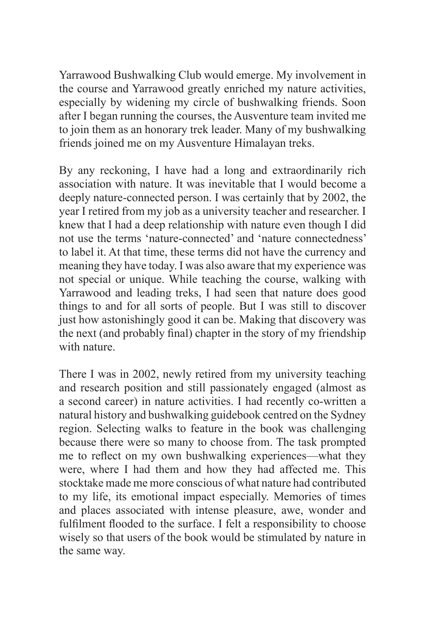Yarrawood Bushwalking Club would emerge. My involvement in the course and Yarrawood greatly enriched my nature activities, especially by widening my circle of bushwalking friends. Soon after I began running the courses, the Ausventure team invited me to join them as an honorary trek leader. Many of my bushwalking friends joined me on my Ausventure Himalayan treks.

By any reckoning, I have had a long and extraordinarily rich association with nature. It was inevitable that I would become a deeply nature-connected person. I was certainly that by 2002, the year I retired from my job as a university teacher and researcher. I knew that I had a deep relationship with nature even though I did not use the terms 'nature-connected' and 'nature connectedness' to label it. At that time, these terms did not have the currency and meaning they have today. I was also aware that my experience was not special or unique. While teaching the course, walking with Yarrawood and leading treks, I had seen that nature does good things to and for all sorts of people. But I was still to discover just how astonishingly good it can be. Making that discovery was the next (and probably final) chapter in the story of my friendship with nature.

There I was in 2002, newly retired from my university teaching and research position and still passionately engaged (almost as a second career) in nature activities. I had recently co-written a natural history and bushwalking guidebook centred on the Sydney region. Selecting walks to feature in the book was challenging because there were so many to choose from. The task prompted me to reflect on my own bushwalking experiences—what they were, where I had them and how they had affected me. This stocktake made me more conscious of what nature had contributed to my life, its emotional impact especially. Memories of times and places associated with intense pleasure, awe, wonder and fulfilment flooded to the surface. I felt a responsibility to choose wisely so that users of the book would be stimulated by nature in the same way.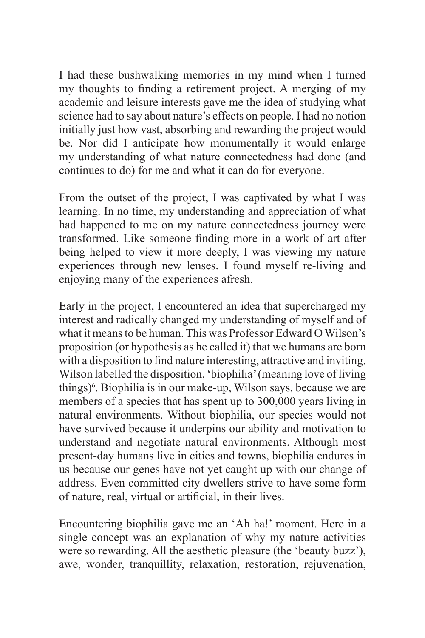I had these bushwalking memories in my mind when I turned my thoughts to finding a retirement project. A merging of my academic and leisure interests gave me the idea of studying what science had to say about nature's effects on people. I had no notion initially just how vast, absorbing and rewarding the project would be. Nor did I anticipate how monumentally it would enlarge my understanding of what nature connectedness had done (and continues to do) for me and what it can do for everyone.

From the outset of the project, I was captivated by what I was learning. In no time, my understanding and appreciation of what had happened to me on my nature connectedness journey were transformed. Like someone finding more in a work of art after being helped to view it more deeply, I was viewing my nature experiences through new lenses. I found myself re-living and enjoying many of the experiences afresh.

Early in the project, I encountered an idea that supercharged my interest and radically changed my understanding of myself and of what it means to be human. This was Professor Edward O Wilson's proposition (or hypothesis as he called it) that we humans are born with a disposition to find nature interesting, attractive and inviting. Wilson labelled the disposition, 'biophilia' (meaning love of living things)<sup>6</sup>. Biophilia is in our make-up, Wilson says, because we are members of a species that has spent up to 300,000 years living in natural environments. Without biophilia, our species would not have survived because it underpins our ability and motivation to understand and negotiate natural environments. Although most present-day humans live in cities and towns, biophilia endures in us because our genes have not yet caught up with our change of address. Even committed city dwellers strive to have some form of nature, real, virtual or artificial, in their lives.

Encountering biophilia gave me an 'Ah ha!' moment. Here in a single concept was an explanation of why my nature activities were so rewarding. All the aesthetic pleasure (the 'beauty buzz'), awe, wonder, tranquillity, relaxation, restoration, rejuvenation,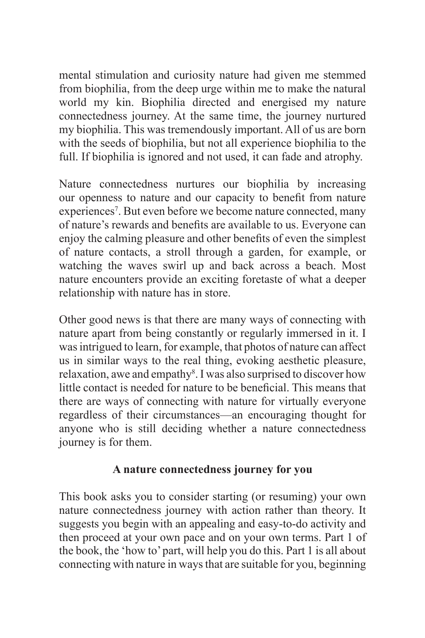mental stimulation and curiosity nature had given me stemmed from biophilia, from the deep urge within me to make the natural world my kin. Biophilia directed and energised my nature connectedness journey. At the same time, the journey nurtured my biophilia. This was tremendously important. All of us are born with the seeds of biophilia, but not all experience biophilia to the full. If biophilia is ignored and not used, it can fade and atrophy.

Nature connectedness nurtures our biophilia by increasing our openness to nature and our capacity to benefit from nature experiences<sup>7</sup>. But even before we become nature connected, many of nature's rewards and benefits are available to us. Everyone can enjoy the calming pleasure and other benefits of even the simplest of nature contacts, a stroll through a garden, for example, or watching the waves swirl up and back across a beach. Most nature encounters provide an exciting foretaste of what a deeper relationship with nature has in store.

Other good news is that there are many ways of connecting with nature apart from being constantly or regularly immersed in it. I was intrigued to learn, for example, that photos of nature can affect us in similar ways to the real thing, evoking aesthetic pleasure, relaxation, awe and empathy<sup>8</sup>. I was also surprised to discover how little contact is needed for nature to be beneficial. This means that there are ways of connecting with nature for virtually everyone regardless of their circumstances—an encouraging thought for anyone who is still deciding whether a nature connectedness journey is for them.

## **A nature connectedness journey for you**

This book asks you to consider starting (or resuming) your own nature connectedness journey with action rather than theory. It suggests you begin with an appealing and easy-to-do activity and then proceed at your own pace and on your own terms. Part 1 of the book, the 'how to' part, will help you do this. Part 1 is all about connecting with nature in ways that are suitable for you, beginning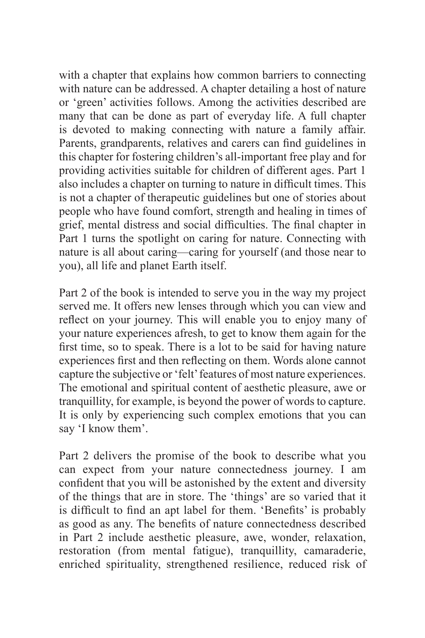with a chapter that explains how common barriers to connecting with nature can be addressed. A chapter detailing a host of nature or 'green' activities follows. Among the activities described are many that can be done as part of everyday life. A full chapter is devoted to making connecting with nature a family affair. Parents, grandparents, relatives and carers can find guidelines in this chapter for fostering children's all-important free play and for providing activities suitable for children of different ages. Part 1 also includes a chapter on turning to nature in difficult times. This is not a chapter of therapeutic guidelines but one of stories about people who have found comfort, strength and healing in times of grief, mental distress and social difficulties. The final chapter in Part 1 turns the spotlight on caring for nature. Connecting with nature is all about caring—caring for yourself (and those near to you), all life and planet Earth itself.

Part 2 of the book is intended to serve you in the way my project served me. It offers new lenses through which you can view and reflect on your journey. This will enable you to enjoy many of your nature experiences afresh, to get to know them again for the first time, so to speak. There is a lot to be said for having nature experiences first and then reflecting on them. Words alone cannot capture the subjective or 'felt' features of most nature experiences. The emotional and spiritual content of aesthetic pleasure, awe or tranquillity, for example, is beyond the power of words to capture. It is only by experiencing such complex emotions that you can say 'I know them'.

Part 2 delivers the promise of the book to describe what you can expect from your nature connectedness journey. I am confident that you will be astonished by the extent and diversity of the things that are in store. The 'things' are so varied that it is difficult to find an apt label for them. 'Benefits' is probably as good as any. The benefits of nature connectedness described in Part 2 include aesthetic pleasure, awe, wonder, relaxation, restoration (from mental fatigue), tranquillity, camaraderie, enriched spirituality, strengthened resilience, reduced risk of